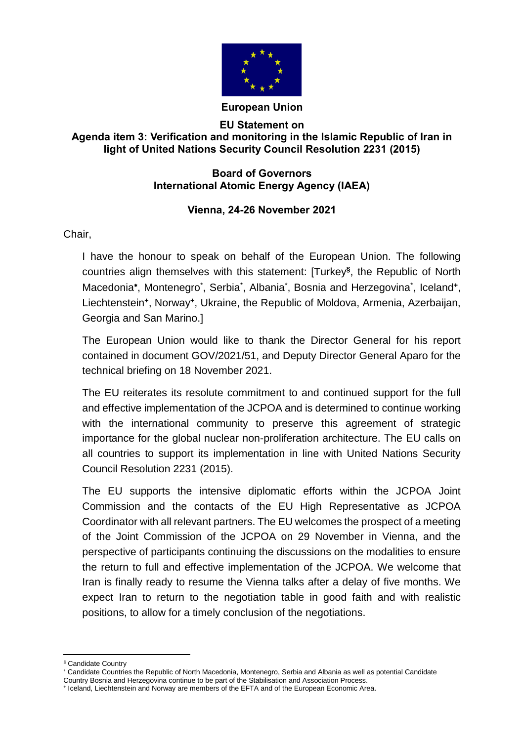

## **European Union**

## **EU Statement on Agenda item 3: Verification and monitoring in the Islamic Republic of Iran in light of United Nations Security Council Resolution 2231 (2015)**

## **Board of Governors International Atomic Energy Agency (IAEA)**

## **Vienna, 24-26 November 2021**

Chair,

I have the honour to speak on behalf of the European Union. The following countries align themselves with this statement: [Turkey**§** , the Republic of North Macedonia\*, Montenegro<sup>\*</sup>, Serbia<sup>\*</sup>, Albania<sup>\*</sup>, Bosnia and Herzegovina<sup>\*</sup>, Iceland\*, Liechtenstein**<sup>+</sup>** , Norway**<sup>+</sup>** , Ukraine, the Republic of Moldova, Armenia, Azerbaijan, Georgia and San Marino.]

The European Union would like to thank the Director General for his report contained in document GOV/2021/51, and Deputy Director General Aparo for the technical briefing on 18 November 2021.

The EU reiterates its resolute commitment to and continued support for the full and effective implementation of the JCPOA and is determined to continue working with the international community to preserve this agreement of strategic importance for the global nuclear non-proliferation architecture. The EU calls on all countries to support its implementation in line with United Nations Security Council Resolution 2231 (2015).

The EU supports the intensive diplomatic efforts within the JCPOA Joint Commission and the contacts of the EU High Representative as JCPOA Coordinator with all relevant partners. The EU welcomes the prospect of a meeting of the Joint Commission of the JCPOA on 29 November in Vienna, and the perspective of participants continuing the discussions on the modalities to ensure the return to full and effective implementation of the JCPOA. We welcome that Iran is finally ready to resume the Vienna talks after a delay of five months. We expect Iran to return to the negotiation table in good faith and with realistic positions, to allow for a timely conclusion of the negotiations.

 $\overline{a}$ 

<sup>§</sup> Candidate Country

Candidate Countries the Republic of North Macedonia, Montenegro, Serbia and Albania as well as potential Candidate Country Bosnia and Herzegovina continue to be part of the Stabilisation and Association Process.

<sup>+</sup> Iceland, Liechtenstein and Norway are members of the EFTA and of the European Economic Area.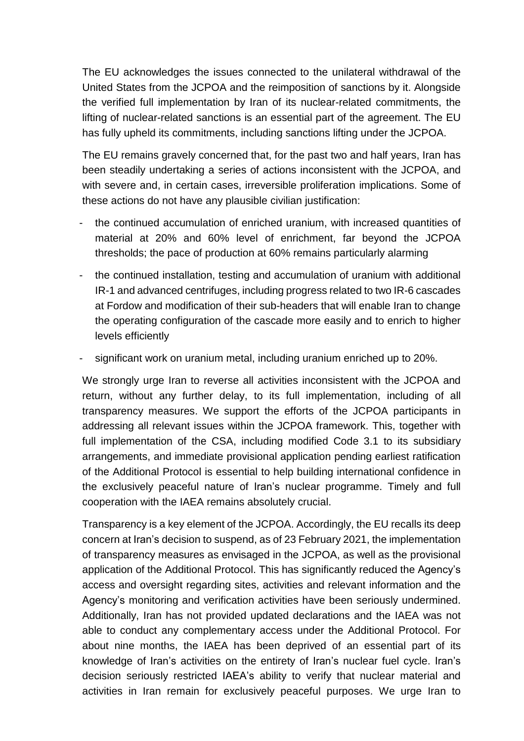The EU acknowledges the issues connected to the unilateral withdrawal of the United States from the JCPOA and the reimposition of sanctions by it. Alongside the verified full implementation by Iran of its nuclear-related commitments, the lifting of nuclear-related sanctions is an essential part of the agreement. The EU has fully upheld its commitments, including sanctions lifting under the JCPOA.

The EU remains gravely concerned that, for the past two and half years, Iran has been steadily undertaking a series of actions inconsistent with the JCPOA, and with severe and, in certain cases, irreversible proliferation implications. Some of these actions do not have any plausible civilian justification:

- the continued accumulation of enriched uranium, with increased quantities of material at 20% and 60% level of enrichment, far beyond the JCPOA thresholds; the pace of production at 60% remains particularly alarming
- the continued installation, testing and accumulation of uranium with additional IR-1 and advanced centrifuges, including progress related to two IR-6 cascades at Fordow and modification of their sub-headers that will enable Iran to change the operating configuration of the cascade more easily and to enrich to higher levels efficiently
- significant work on uranium metal, including uranium enriched up to 20%.

We strongly urge Iran to reverse all activities inconsistent with the JCPOA and return, without any further delay, to its full implementation, including of all transparency measures. We support the efforts of the JCPOA participants in addressing all relevant issues within the JCPOA framework. This, together with full implementation of the CSA, including modified Code 3.1 to its subsidiary arrangements, and immediate provisional application pending earliest ratification of the Additional Protocol is essential to help building international confidence in the exclusively peaceful nature of Iran's nuclear programme. Timely and full cooperation with the IAEA remains absolutely crucial.

Transparency is a key element of the JCPOA. Accordingly, the EU recalls its deep concern at Iran's decision to suspend, as of 23 February 2021, the implementation of transparency measures as envisaged in the JCPOA, as well as the provisional application of the Additional Protocol. This has significantly reduced the Agency's access and oversight regarding sites, activities and relevant information and the Agency's monitoring and verification activities have been seriously undermined. Additionally, Iran has not provided updated declarations and the IAEA was not able to conduct any complementary access under the Additional Protocol. For about nine months, the IAEA has been deprived of an essential part of its knowledge of Iran's activities on the entirety of Iran's nuclear fuel cycle. Iran's decision seriously restricted IAEA's ability to verify that nuclear material and activities in Iran remain for exclusively peaceful purposes. We urge Iran to